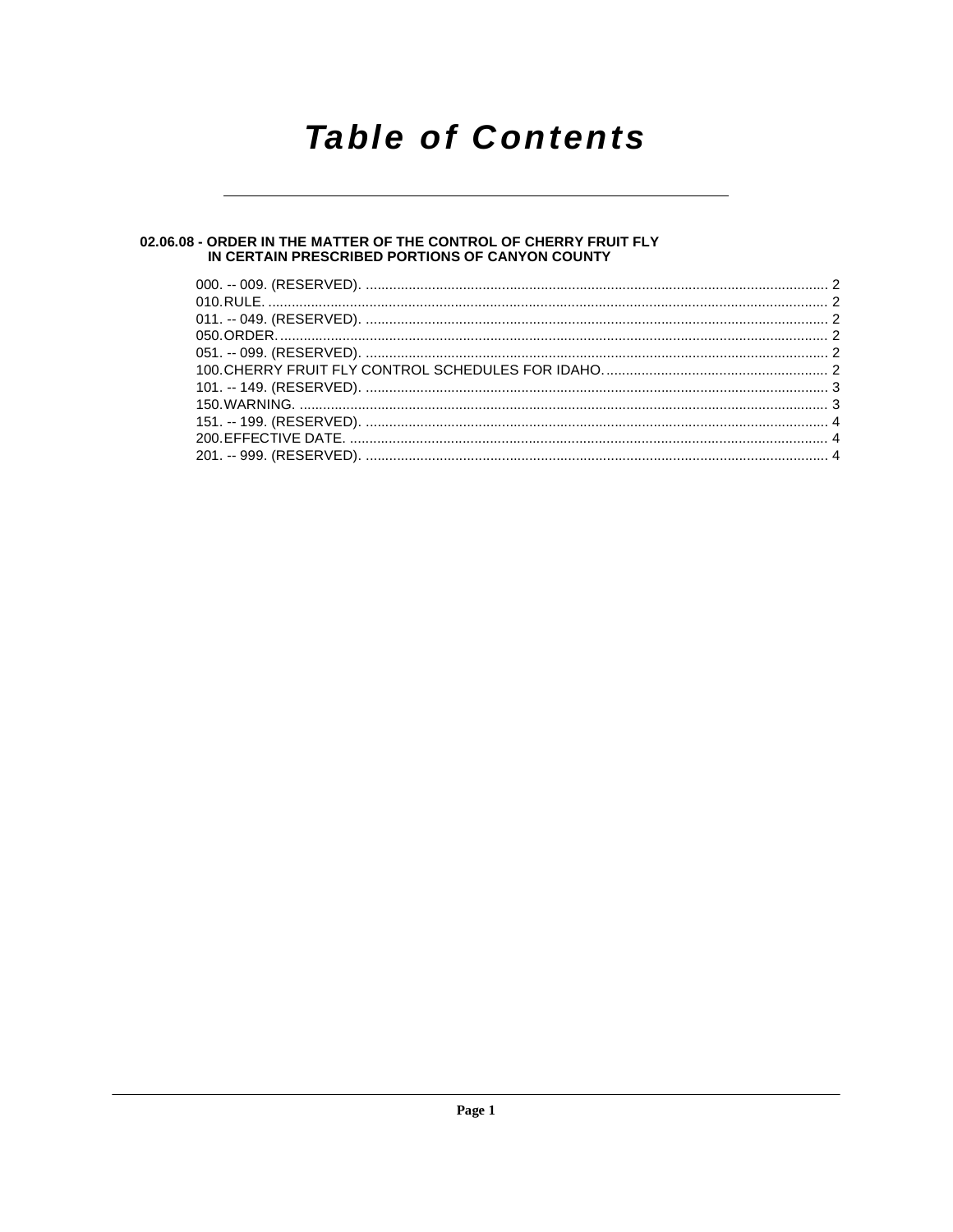## **Table of Contents**

### 02.06.08 - ORDER IN THE MATTER OF THE CONTROL OF CHERRY FRUIT FLY<br>IN CERTAIN PRESCRIBED PORTIONS OF CANYON COUNTY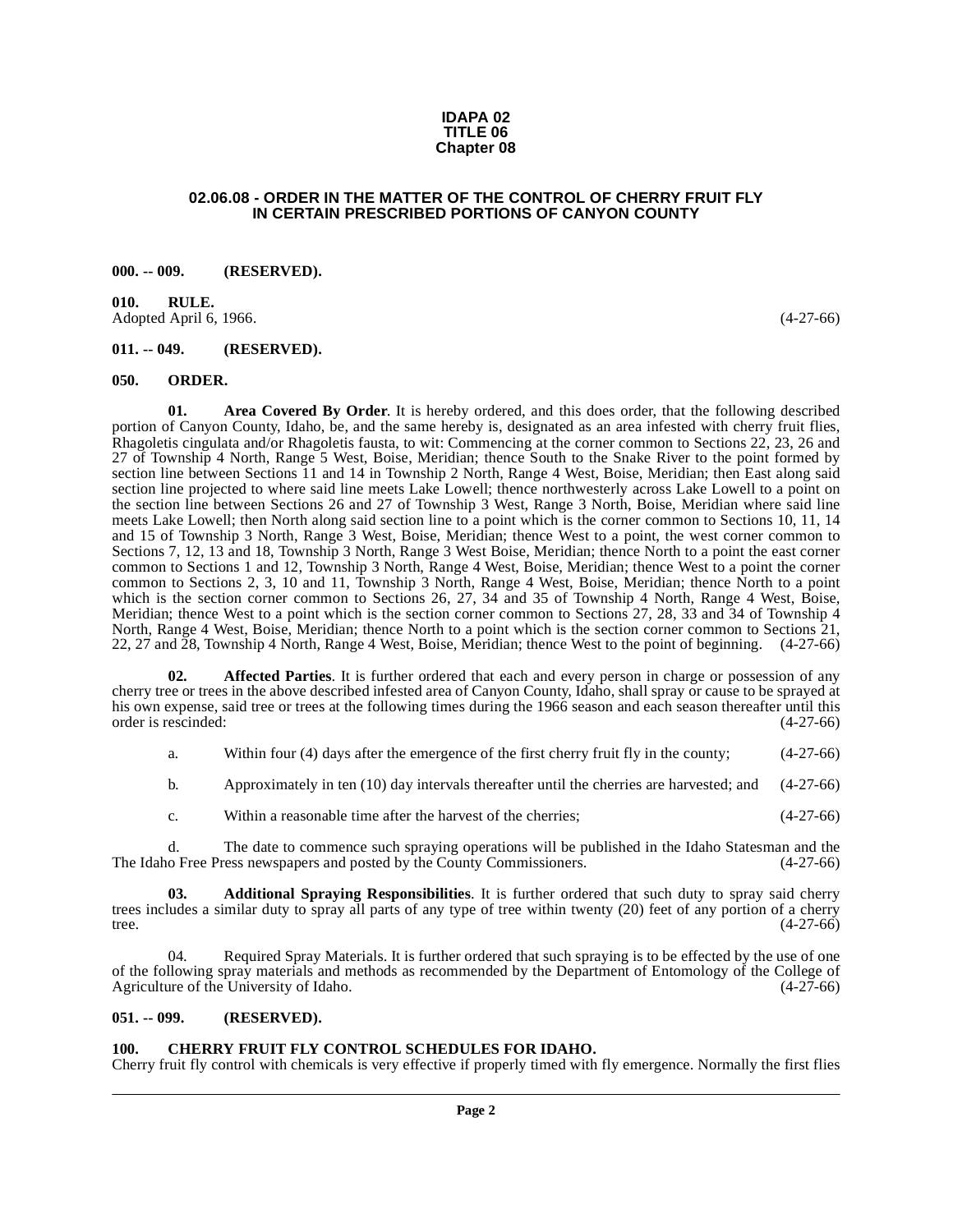#### **IDAPA 02 TITLE 06 Chapter 08**

#### **02.06.08 - ORDER IN THE MATTER OF THE CONTROL OF CHERRY FRUIT FLY IN CERTAIN PRESCRIBED PORTIONS OF CANYON COUNTY**

#### <span id="page-1-1"></span><span id="page-1-0"></span>**000. -- 009. (RESERVED).**

<span id="page-1-2"></span>**010. RULE.**  Adopted April 6, 1966. (4-27-66)

#### <span id="page-1-3"></span>**011. -- 049. (RESERVED).**

#### <span id="page-1-11"></span><span id="page-1-4"></span>**050. ORDER.**

<span id="page-1-9"></span>**01. Area Covered By Order**. It is hereby ordered, and this does order, that the following described portion of Canyon County, Idaho, be, and the same hereby is, designated as an area infested with cherry fruit flies, Rhagoletis cingulata and/or Rhagoletis fausta, to wit: Commencing at the corner common to Sections 22, 23, 26 and 27 of Township 4 North, Range 5 West, Boise, Meridian; thence South to the Snake River to the point formed by section line between Sections 11 and 14 in Township 2 North, Range 4 West, Boise, Meridian; then East along said section line projected to where said line meets Lake Lowell; thence northwesterly across Lake Lowell to a point on the section line between Sections 26 and 27 of Township 3 West, Range 3 North, Boise, Meridian where said line meets Lake Lowell; then North along said section line to a point which is the corner common to Sections 10, 11, 14 and 15 of Township 3 North, Range 3 West, Boise, Meridian; thence West to a point, the west corner common to Sections 7, 12, 13 and 18, Township 3 North, Range 3 West Boise, Meridian; thence North to a point the east corner common to Sections 1 and 12, Township 3 North, Range 4 West, Boise, Meridian; thence West to a point the corner common to Sections 2, 3, 10 and 11, Township 3 North, Range 4 West, Boise, Meridian; thence North to a point which is the section corner common to Sections 26, 27, 34 and 35 of Township 4 North, Range 4 West, Boise, Meridian; thence West to a point which is the section corner common to Sections 27, 28, 33 and 34 of Township 4 North, Range 4 West, Boise, Meridian; thence North to a point which is the section corner common to Sections 21, 22, 27 and 28, Township 4 North, Range 4 West, Boise, Meridian; thence West to the point of beginning. (4-27-66)

**02. Affected Parties**. It is further ordered that each and every person in charge or possession of any cherry tree or trees in the above described infested area of Canyon County, Idaho, shall spray or cause to be sprayed at his own expense, said tree or trees at the following times during the 1966 season and each season thereafter until this order is rescinded: (4-27-66) order is rescinded:

- <span id="page-1-8"></span>a. Within four (4) days after the emergence of the first cherry fruit fly in the county; (4-27-66)
- b. Approximately in ten (10) day intervals thereafter until the cherries are harvested; and (4-27-66)
- <span id="page-1-7"></span>c. Within a reasonable time after the harvest of the cherries; (4-27-66)

d. The date to commence such spraying operations will be published in the Idaho Statesman and the office Press newspapers and posted by the County Commissioners. (4-27-66) The Idaho Free Press newspapers and posted by the County Commissioners.

**03. Additional Spraying Responsibilities**. It is further ordered that such duty to spray said cherry trees includes a similar duty to spray all parts of any type of tree within twenty (20) feet of any portion of a cherry tree. tree.  $(4-27-66)$ 

<span id="page-1-12"></span>04. Required Spray Materials. It is further ordered that such spraying is to be effected by the use of one of the following spray materials and methods as recommended by the Department of Entomology of the College of Agriculture of the University of Idaho. (4-27-66) Agriculture of the University of Idaho.

#### <span id="page-1-5"></span>**051. -- 099. (RESERVED).**

#### <span id="page-1-10"></span><span id="page-1-6"></span>**100. CHERRY FRUIT FLY CONTROL SCHEDULES FOR IDAHO.**

Cherry fruit fly control with chemicals is very effective if properly timed with fly emergence. Normally the first flies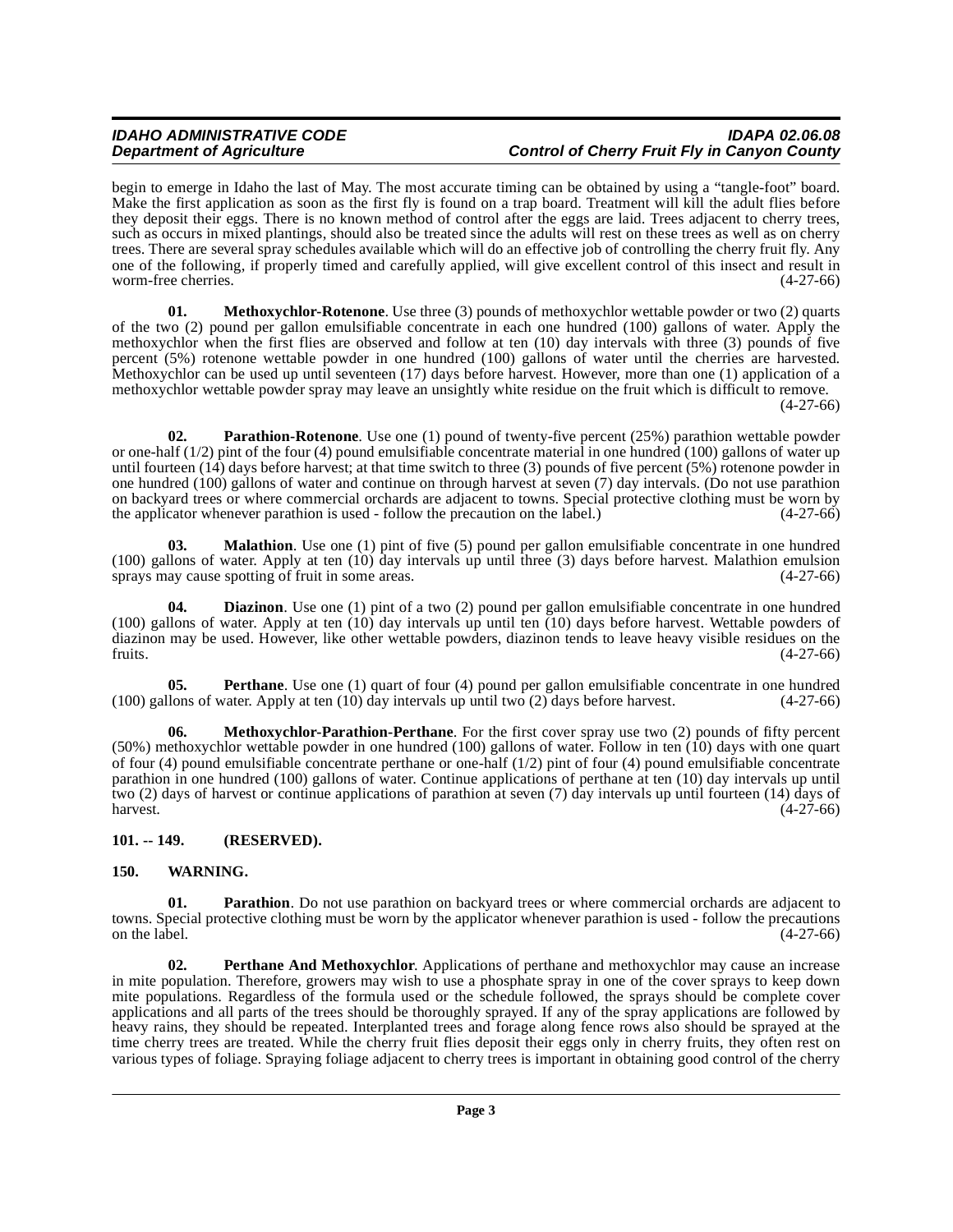### **IDAHO ADMINISTRATIVE CODE IDAPA 02.06.08 Control of Cherry Fruit Fly in Canyon County**

begin to emerge in Idaho the last of May. The most accurate timing can be obtained by using a "tangle-foot" board. Make the first application as soon as the first fly is found on a trap board. Treatment will kill the adult flies before they deposit their eggs. There is no known method of control after the eggs are laid. Trees adjacent to cherry trees, such as occurs in mixed plantings, should also be treated since the adults will rest on these trees as well as on cherry trees. There are several spray schedules available which will do an effective job of controlling the cherry fruit fly. Any one of the following, if properly timed and carefully applied, will give excellent control of this insect and result in worm-free cherries.

<span id="page-2-5"></span>**01. Methoxychlor-Rotenone**. Use three (3) pounds of methoxychlor wettable powder or two (2) quarts of the two (2) pound per gallon emulsifiable concentrate in each one hundred (100) gallons of water. Apply the methoxychlor when the first flies are observed and follow at ten (10) day intervals with three (3) pounds of five percent (5%) rotenone wettable powder in one hundred (100) gallons of water until the cherries are harvested. Methoxychlor can be used up until seventeen (17) days before harvest. However, more than one (1) application of a methoxychlor wettable powder spray may leave an unsightly white residue on the fruit which is difficult to remove. (4-27-66)

<span id="page-2-7"></span>**02.** Parathion-Rotenone. Use one (1) pound of twenty-five percent (25%) parathion wettable powder or one-half (1/2) pint of the four (4) pound emulsifiable concentrate material in one hundred (100) gallons of water up until fourteen (14) days before harvest; at that time switch to three (3) pounds of five percent (5%) rotenone powder in one hundred (100) gallons of water and continue on through harvest at seven (7) day intervals. (Do not use parathion on backyard trees or where commercial orchards are adjacent to towns. Special protective clothing must be worn by the applicator whenever parathion is used - follow the precaution on the label.)  $(4-27-66)$ the applicator whenever parathion is used - follow the precaution on the label.)

<span id="page-2-3"></span>**03. Malathion**. Use one (1) pint of five (5) pound per gallon emulsifiable concentrate in one hundred (100) gallons of water. Apply at ten  $(10)$  day intervals up until three  $(3)$  days before harvest. Malathion emulsion sprays may cause spotting of fruit in some areas. sprays may cause spotting of fruit in some areas.

<span id="page-2-2"></span>**04. Diazinon**. Use one (1) pint of a two (2) pound per gallon emulsifiable concentrate in one hundred (100) gallons of water. Apply at ten (10) day intervals up until ten (10) days before harvest. Wettable powders of diazinon may be used. However, like other wettable powders, diazinon tends to leave heavy visible residues on the fruits. (4-27-66) fruits.  $(4-27-66)$ 

<span id="page-2-8"></span>**05.** Perthane. Use one (1) quart of four (4) pound per gallon emulsifiable concentrate in one hundred (100) gallons of water. Apply at ten (10) day intervals up until two (2) days before harvest. (4-27-66)

<span id="page-2-4"></span>**06. Methoxychlor-Parathion-Perthane**. For the first cover spray use two (2) pounds of fifty percent (50%) methoxychlor wettable powder in one hundred (100) gallons of water. Follow in ten (10) days with one quart of four (4) pound emulsifiable concentrate perthane or one-half (1/2) pint of four (4) pound emulsifiable concentrate parathion in one hundred (100) gallons of water. Continue applications of perthane at ten (10) day intervals up until two (2) days of harvest or continue applications of parathion at seven (7) day intervals up until fourteen (14) days of  $h$ arvest.  $(4-27-66)$ 

#### <span id="page-2-0"></span>**101. -- 149. (RESERVED).**

#### <span id="page-2-10"></span><span id="page-2-1"></span>**150. WARNING.**

<span id="page-2-6"></span>**01. Parathion**. Do not use parathion on backyard trees or where commercial orchards are adjacent to towns. Special protective clothing must be worn by the applicator whenever parathion is used - follow the precautions on the label.  $(4-27-66)$ 

<span id="page-2-9"></span>**02. Perthane And Methoxychlor**. Applications of perthane and methoxychlor may cause an increase in mite population. Therefore, growers may wish to use a phosphate spray in one of the cover sprays to keep down mite populations. Regardless of the formula used or the schedule followed, the sprays should be complete cover applications and all parts of the trees should be thoroughly sprayed. If any of the spray applications are followed by heavy rains, they should be repeated. Interplanted trees and forage along fence rows also should be sprayed at the time cherry trees are treated. While the cherry fruit flies deposit their eggs only in cherry fruits, they often rest on various types of foliage. Spraying foliage adjacent to cherry trees is important in obtaining good control of the cherry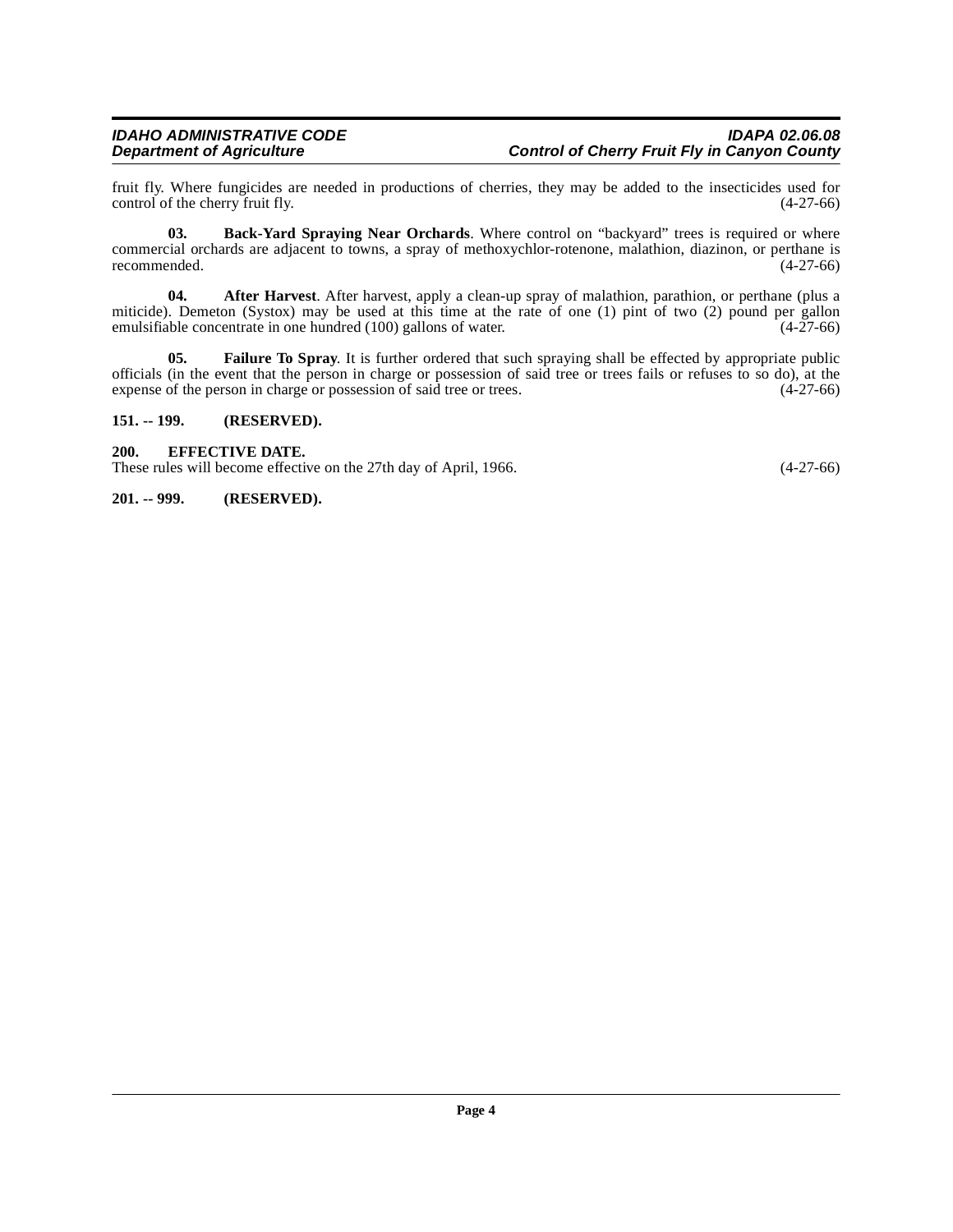fruit fly. Where fungicides are needed in productions of cherries, they may be added to the insecticides used for control of the cherry fruit fly.

<span id="page-3-4"></span>**03. Back-Yard Spraying Near Orchards**. Where control on "backyard" trees is required or where commercial orchards are adjacent to towns, a spray of methoxychlor-rotenone, malathion, diazinon, or perthane is recommended. (4-27-66) recommended.

<span id="page-3-3"></span>**04. After Harvest**. After harvest, apply a clean-up spray of malathion, parathion, or perthane (plus a miticide). Demeton (Systox) may be used at this time at the rate of one (1) pint of two (2) pound per gallon emulsifiable concentrate in one hundred (100) gallons of water. (4-27-66)

<span id="page-3-6"></span>**05. Failure To Spray**. It is further ordered that such spraying shall be effected by appropriate public officials (in the event that the person in charge or possession of said tree or trees fails or refuses to so do), at the expense of the person in charge or possession of said tree or trees. (4-27-66)

#### <span id="page-3-0"></span>**151. -- 199. (RESERVED).**

#### <span id="page-3-5"></span><span id="page-3-1"></span>**200. EFFECTIVE DATE.**

These rules will become effective on the 27th day of April, 1966. (4-27-66)

#### <span id="page-3-2"></span>**201. -- 999. (RESERVED).**